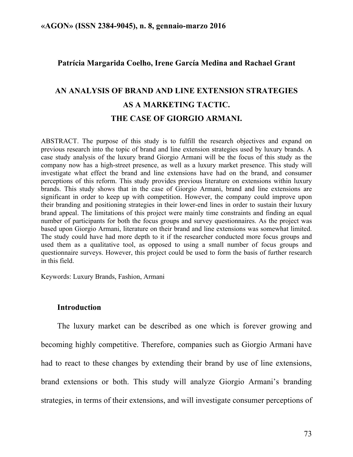## **Patrícia Margarida Coelho, Irene García Medina and Rachael Grant**

# **AN ANALYSIS OF BRAND AND LINE EXTENSION STRATEGIES AS A MARKETING TACTIC. THE CASE OF GIORGIO ARMANI.**

ABSTRACT. The purpose of this study is to fulfill the research objectives and expand on previous research into the topic of brand and line extension strategies used by luxury brands. A case study analysis of the luxury brand Giorgio Armani will be the focus of this study as the company now has a high-street presence, as well as a luxury market presence. This study will investigate what effect the brand and line extensions have had on the brand, and consumer perceptions of this reform. This study provides previous literature on extensions within luxury brands. This study shows that in the case of Giorgio Armani, brand and line extensions are significant in order to keep up with competition. However, the company could improve upon their branding and positioning strategies in their lower-end lines in order to sustain their luxury brand appeal. The limitations of this project were mainly time constraints and finding an equal number of participants for both the focus groups and survey questionnaires. As the project was based upon Giorgio Armani, literature on their brand and line extensions was somewhat limited. The study could have had more depth to it if the researcher conducted more focus groups and used them as a qualitative tool, as opposed to using a small number of focus groups and questionnaire surveys. However, this project could be used to form the basis of further research in this field.

Keywords: Luxury Brands, Fashion, Armani

## **Introduction**

The luxury market can be described as one which is forever growing and becoming highly competitive. Therefore, companies such as Giorgio Armani have had to react to these changes by extending their brand by use of line extensions, brand extensions or both. This study will analyze Giorgio Armani's branding strategies, in terms of their extensions, and will investigate consumer perceptions of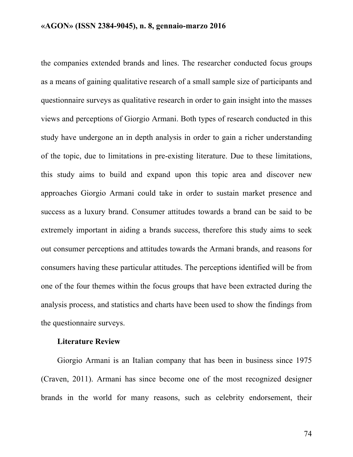the companies extended brands and lines. The researcher conducted focus groups as a means of gaining qualitative research of a small sample size of participants and questionnaire surveys as qualitative research in order to gain insight into the masses views and perceptions of Giorgio Armani. Both types of research conducted in this study have undergone an in depth analysis in order to gain a richer understanding of the topic, due to limitations in pre-existing literature. Due to these limitations, this study aims to build and expand upon this topic area and discover new approaches Giorgio Armani could take in order to sustain market presence and success as a luxury brand. Consumer attitudes towards a brand can be said to be extremely important in aiding a brands success, therefore this study aims to seek out consumer perceptions and attitudes towards the Armani brands, and reasons for consumers having these particular attitudes. The perceptions identified will be from one of the four themes within the focus groups that have been extracted during the analysis process, and statistics and charts have been used to show the findings from the questionnaire surveys.

## **Literature Review**

Giorgio Armani is an Italian company that has been in business since 1975 (Craven, 2011). Armani has since become one of the most recognized designer brands in the world for many reasons, such as celebrity endorsement, their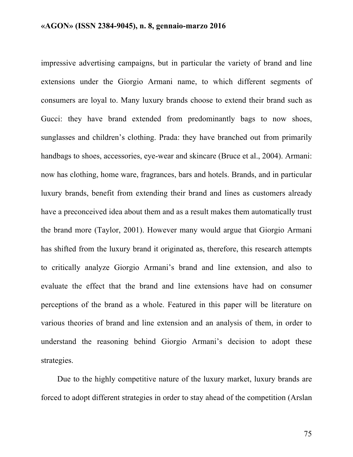impressive advertising campaigns, but in particular the variety of brand and line extensions under the Giorgio Armani name, to which different segments of consumers are loyal to. Many luxury brands choose to extend their brand such as Gucci: they have brand extended from predominantly bags to now shoes, sunglasses and children's clothing. Prada: they have branched out from primarily handbags to shoes, accessories, eye-wear and skincare (Bruce et al., 2004). Armani: now has clothing, home ware, fragrances, bars and hotels. Brands, and in particular luxury brands, benefit from extending their brand and lines as customers already have a preconceived idea about them and as a result makes them automatically trust the brand more (Taylor, 2001). However many would argue that Giorgio Armani has shifted from the luxury brand it originated as, therefore, this research attempts to critically analyze Giorgio Armani's brand and line extension, and also to evaluate the effect that the brand and line extensions have had on consumer perceptions of the brand as a whole. Featured in this paper will be literature on various theories of brand and line extension and an analysis of them, in order to understand the reasoning behind Giorgio Armani's decision to adopt these strategies.

Due to the highly competitive nature of the luxury market, luxury brands are forced to adopt different strategies in order to stay ahead of the competition (Arslan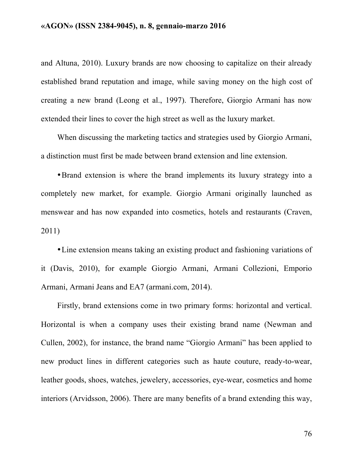and Altuna, 2010). Luxury brands are now choosing to capitalize on their already established brand reputation and image, while saving money on the high cost of creating a new brand (Leong et al., 1997). Therefore, Giorgio Armani has now extended their lines to cover the high street as well as the luxury market.

When discussing the marketing tactics and strategies used by Giorgio Armani, a distinction must first be made between brand extension and line extension.

•Brand extension is where the brand implements its luxury strategy into a completely new market, for example. Giorgio Armani originally launched as menswear and has now expanded into cosmetics, hotels and restaurants (Craven, 2011)

•Line extension means taking an existing product and fashioning variations of it (Davis, 2010), for example Giorgio Armani, Armani Collezioni, Emporio Armani, Armani Jeans and EA7 (armani.com, 2014).

Firstly, brand extensions come in two primary forms: horizontal and vertical. Horizontal is when a company uses their existing brand name (Newman and Cullen, 2002), for instance, the brand name "Giorgio Armani" has been applied to new product lines in different categories such as haute couture, ready-to-wear, leather goods, shoes, watches, jewelery, accessories, eye-wear, cosmetics and home interiors (Arvidsson, 2006). There are many benefits of a brand extending this way,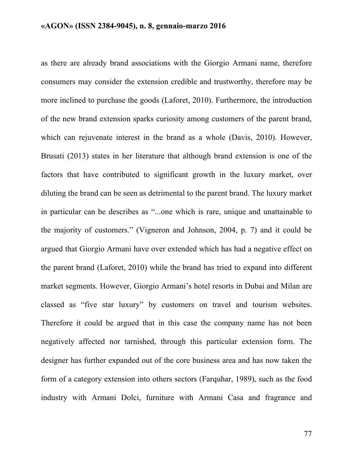as there are already brand associations with the Giorgio Armani name, therefore consumers may consider the extension credible and trustworthy, therefore may be more inclined to purchase the goods (Laforet, 2010). Furthermore, the introduction of the new brand extension sparks curiosity among customers of the parent brand, which can rejuvenate interest in the brand as a whole (Davis, 2010). However, Brusati (2013) states in her literature that although brand extension is one of the factors that have contributed to significant growth in the luxury market, over diluting the brand can be seen as detrimental to the parent brand. The luxury market in particular can be describes as "...one which is rare, unique and unattainable to the majority of customers." (Vigneron and Johnson, 2004, p. 7) and it could be argued that Giorgio Armani have over extended which has had a negative effect on the parent brand (Laforet, 2010) while the brand has tried to expand into different market segments. However, Giorgio Armani's hotel resorts in Dubai and Milan are classed as "five star luxury" by customers on travel and tourism websites. Therefore it could be argued that in this case the company name has not been negatively affected nor tarnished, through this particular extension form. The designer has further expanded out of the core business area and has now taken the form of a category extension into others sectors (Farquhar, 1989), such as the food industry with Armani Dolci, furniture with Armani Casa and fragrance and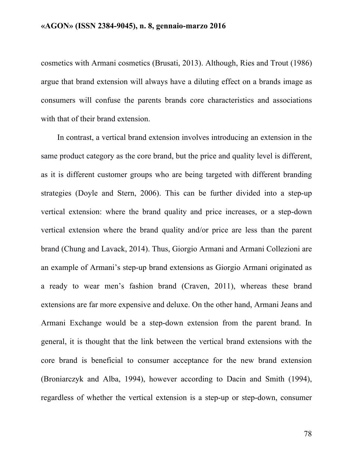cosmetics with Armani cosmetics (Brusati, 2013). Although, Ries and Trout (1986) argue that brand extension will always have a diluting effect on a brands image as consumers will confuse the parents brands core characteristics and associations with that of their brand extension.

In contrast, a vertical brand extension involves introducing an extension in the same product category as the core brand, but the price and quality level is different, as it is different customer groups who are being targeted with different branding strategies (Doyle and Stern, 2006). This can be further divided into a step-up vertical extension: where the brand quality and price increases, or a step-down vertical extension where the brand quality and/or price are less than the parent brand (Chung and Lavack, 2014). Thus, Giorgio Armani and Armani Collezioni are an example of Armani's step-up brand extensions as Giorgio Armani originated as a ready to wear men's fashion brand (Craven, 2011), whereas these brand extensions are far more expensive and deluxe. On the other hand, Armani Jeans and Armani Exchange would be a step-down extension from the parent brand. In general, it is thought that the link between the vertical brand extensions with the core brand is beneficial to consumer acceptance for the new brand extension (Broniarczyk and Alba, 1994), however according to Dacin and Smith (1994), regardless of whether the vertical extension is a step-up or step-down, consumer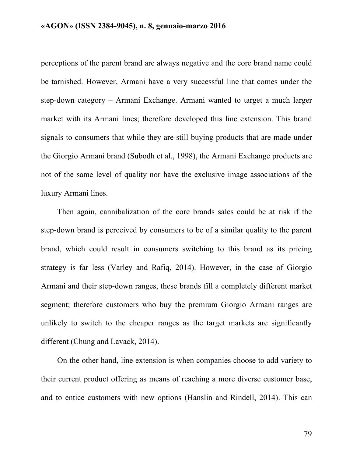perceptions of the parent brand are always negative and the core brand name could be tarnished. However, Armani have a very successful line that comes under the step-down category – Armani Exchange. Armani wanted to target a much larger market with its Armani lines; therefore developed this line extension. This brand signals to consumers that while they are still buying products that are made under the Giorgio Armani brand (Subodh et al., 1998), the Armani Exchange products are not of the same level of quality nor have the exclusive image associations of the luxury Armani lines.

Then again, cannibalization of the core brands sales could be at risk if the step-down brand is perceived by consumers to be of a similar quality to the parent brand, which could result in consumers switching to this brand as its pricing strategy is far less (Varley and Rafiq, 2014). However, in the case of Giorgio Armani and their step-down ranges, these brands fill a completely different market segment; therefore customers who buy the premium Giorgio Armani ranges are unlikely to switch to the cheaper ranges as the target markets are significantly different (Chung and Lavack, 2014).

On the other hand, line extension is when companies choose to add variety to their current product offering as means of reaching a more diverse customer base, and to entice customers with new options (Hanslin and Rindell, 2014). This can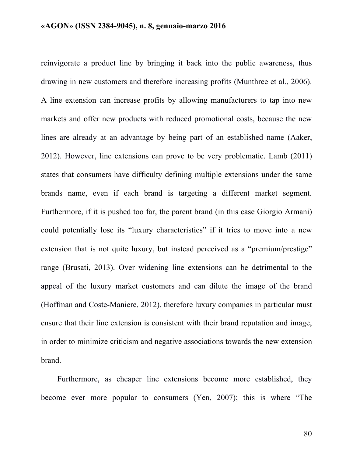reinvigorate a product line by bringing it back into the public awareness, thus drawing in new customers and therefore increasing profits (Munthree et al., 2006). A line extension can increase profits by allowing manufacturers to tap into new markets and offer new products with reduced promotional costs, because the new lines are already at an advantage by being part of an established name (Aaker, 2012). However, line extensions can prove to be very problematic. Lamb (2011) states that consumers have difficulty defining multiple extensions under the same brands name, even if each brand is targeting a different market segment. Furthermore, if it is pushed too far, the parent brand (in this case Giorgio Armani) could potentially lose its "luxury characteristics" if it tries to move into a new extension that is not quite luxury, but instead perceived as a "premium/prestige" range (Brusati, 2013). Over widening line extensions can be detrimental to the appeal of the luxury market customers and can dilute the image of the brand (Hoffman and Coste-Maniere, 2012), therefore luxury companies in particular must ensure that their line extension is consistent with their brand reputation and image, in order to minimize criticism and negative associations towards the new extension brand.

Furthermore, as cheaper line extensions become more established, they become ever more popular to consumers (Yen, 2007); this is where "The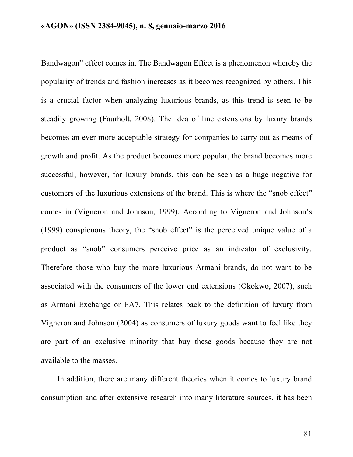Bandwagon" effect comes in. The Bandwagon Effect is a phenomenon whereby the popularity of trends and fashion increases as it becomes recognized by others. This is a crucial factor when analyzing luxurious brands, as this trend is seen to be steadily growing (Faurholt, 2008). The idea of line extensions by luxury brands becomes an ever more acceptable strategy for companies to carry out as means of growth and profit. As the product becomes more popular, the brand becomes more successful, however, for luxury brands, this can be seen as a huge negative for customers of the luxurious extensions of the brand. This is where the "snob effect" comes in (Vigneron and Johnson, 1999). According to Vigneron and Johnson's (1999) conspicuous theory, the "snob effect" is the perceived unique value of a product as "snob" consumers perceive price as an indicator of exclusivity. Therefore those who buy the more luxurious Armani brands, do not want to be associated with the consumers of the lower end extensions (Okokwo, 2007), such as Armani Exchange or EA7. This relates back to the definition of luxury from Vigneron and Johnson (2004) as consumers of luxury goods want to feel like they are part of an exclusive minority that buy these goods because they are not available to the masses.

In addition, there are many different theories when it comes to luxury brand consumption and after extensive research into many literature sources, it has been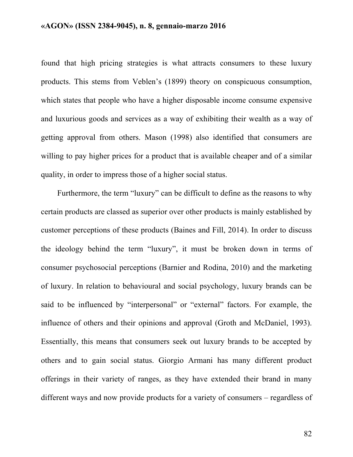found that high pricing strategies is what attracts consumers to these luxury products. This stems from Veblen's (1899) theory on conspicuous consumption, which states that people who have a higher disposable income consume expensive and luxurious goods and services as a way of exhibiting their wealth as a way of getting approval from others. Mason (1998) also identified that consumers are willing to pay higher prices for a product that is available cheaper and of a similar quality, in order to impress those of a higher social status.

Furthermore, the term "luxury" can be difficult to define as the reasons to why certain products are classed as superior over other products is mainly established by customer perceptions of these products (Baines and Fill, 2014). In order to discuss the ideology behind the term "luxury", it must be broken down in terms of consumer psychosocial perceptions (Barnier and Rodina, 2010) and the marketing of luxury. In relation to behavioural and social psychology, luxury brands can be said to be influenced by "interpersonal" or "external" factors. For example, the influence of others and their opinions and approval (Groth and McDaniel, 1993). Essentially, this means that consumers seek out luxury brands to be accepted by others and to gain social status. Giorgio Armani has many different product offerings in their variety of ranges, as they have extended their brand in many different ways and now provide products for a variety of consumers – regardless of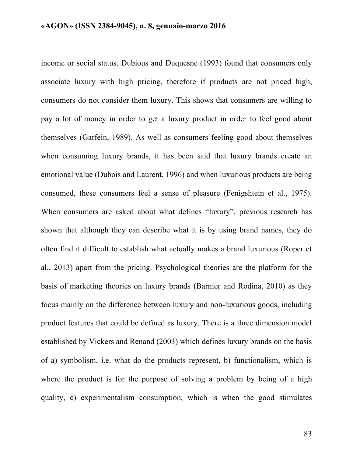income or social status. Dubious and Duquesne (1993) found that consumers only associate luxury with high pricing, therefore if products are not priced high, consumers do not consider them luxury. This shows that consumers are willing to pay a lot of money in order to get a luxury product in order to feel good about themselves (Garfein, 1989). As well as consumers feeling good about themselves when consuming luxury brands, it has been said that luxury brands create an emotional value (Dubois and Laurent, 1996) and when luxurious products are being consumed, these consumers feel a sense of pleasure (Fenigshtein et al., 1975). When consumers are asked about what defines "luxury", previous research has shown that although they can describe what it is by using brand names, they do often find it difficult to establish what actually makes a brand luxurious (Roper et al., 2013) apart from the pricing. Psychological theories are the platform for the basis of marketing theories on luxury brands (Barnier and Rodina, 2010) as they focus mainly on the difference between luxury and non-luxurious goods, including product features that could be defined as luxury. There is a three dimension model established by Vickers and Renand (2003) which defines luxury brands on the basis of a) symbolism, i.e. what do the products represent, b) functionalism, which is where the product is for the purpose of solving a problem by being of a high quality, c) experimentalism consumption, which is when the good stimulates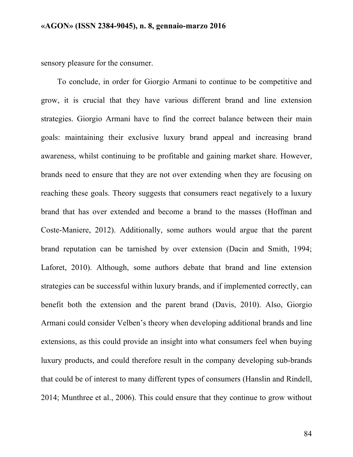sensory pleasure for the consumer.

To conclude, in order for Giorgio Armani to continue to be competitive and grow, it is crucial that they have various different brand and line extension strategies. Giorgio Armani have to find the correct balance between their main goals: maintaining their exclusive luxury brand appeal and increasing brand awareness, whilst continuing to be profitable and gaining market share. However, brands need to ensure that they are not over extending when they are focusing on reaching these goals. Theory suggests that consumers react negatively to a luxury brand that has over extended and become a brand to the masses (Hoffman and Coste-Maniere, 2012). Additionally, some authors would argue that the parent brand reputation can be tarnished by over extension (Dacin and Smith, 1994; Laforet, 2010). Although, some authors debate that brand and line extension strategies can be successful within luxury brands, and if implemented correctly, can benefit both the extension and the parent brand (Davis, 2010). Also, Giorgio Armani could consider Velben's theory when developing additional brands and line extensions, as this could provide an insight into what consumers feel when buying luxury products, and could therefore result in the company developing sub-brands that could be of interest to many different types of consumers (Hanslin and Rindell, 2014; Munthree et al., 2006). This could ensure that they continue to grow without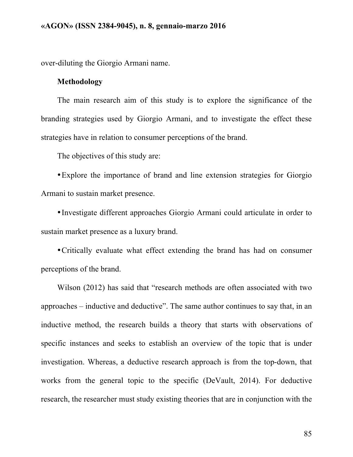over-diluting the Giorgio Armani name.

#### **Methodology**

The main research aim of this study is to explore the significance of the branding strategies used by Giorgio Armani, and to investigate the effect these strategies have in relation to consumer perceptions of the brand.

The objectives of this study are:

•Explore the importance of brand and line extension strategies for Giorgio Armani to sustain market presence.

•Investigate different approaches Giorgio Armani could articulate in order to sustain market presence as a luxury brand.

•Critically evaluate what effect extending the brand has had on consumer perceptions of the brand.

Wilson (2012) has said that "research methods are often associated with two approaches – inductive and deductive". The same author continues to say that, in an inductive method, the research builds a theory that starts with observations of specific instances and seeks to establish an overview of the topic that is under investigation. Whereas, a deductive research approach is from the top-down, that works from the general topic to the specific (DeVault, 2014). For deductive research, the researcher must study existing theories that are in conjunction with the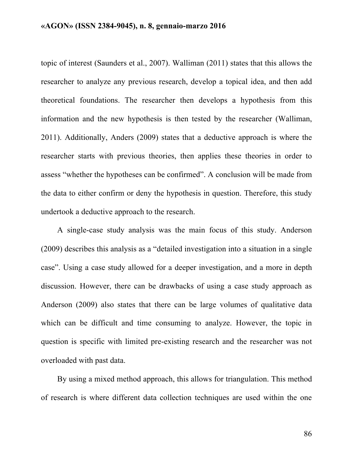topic of interest (Saunders et al., 2007). Walliman (2011) states that this allows the researcher to analyze any previous research, develop a topical idea, and then add theoretical foundations. The researcher then develops a hypothesis from this information and the new hypothesis is then tested by the researcher (Walliman, 2011). Additionally, Anders (2009) states that a deductive approach is where the researcher starts with previous theories, then applies these theories in order to assess "whether the hypotheses can be confirmed". A conclusion will be made from the data to either confirm or deny the hypothesis in question. Therefore, this study undertook a deductive approach to the research.

A single-case study analysis was the main focus of this study. Anderson (2009) describes this analysis as a "detailed investigation into a situation in a single case". Using a case study allowed for a deeper investigation, and a more in depth discussion. However, there can be drawbacks of using a case study approach as Anderson (2009) also states that there can be large volumes of qualitative data which can be difficult and time consuming to analyze. However, the topic in question is specific with limited pre-existing research and the researcher was not overloaded with past data.

By using a mixed method approach, this allows for triangulation. This method of research is where different data collection techniques are used within the one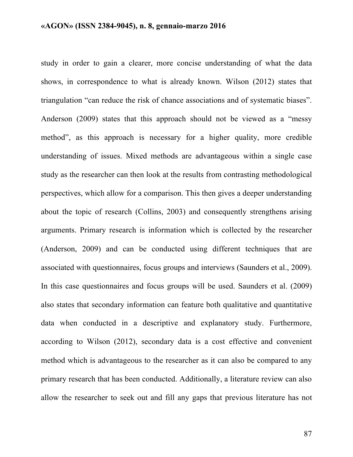study in order to gain a clearer, more concise understanding of what the data shows, in correspondence to what is already known. Wilson (2012) states that triangulation "can reduce the risk of chance associations and of systematic biases". Anderson (2009) states that this approach should not be viewed as a "messy method", as this approach is necessary for a higher quality, more credible understanding of issues. Mixed methods are advantageous within a single case study as the researcher can then look at the results from contrasting methodological perspectives, which allow for a comparison. This then gives a deeper understanding about the topic of research (Collins, 2003) and consequently strengthens arising arguments. Primary research is information which is collected by the researcher (Anderson, 2009) and can be conducted using different techniques that are associated with questionnaires, focus groups and interviews (Saunders et al., 2009). In this case questionnaires and focus groups will be used. Saunders et al. (2009) also states that secondary information can feature both qualitative and quantitative data when conducted in a descriptive and explanatory study. Furthermore, according to Wilson (2012), secondary data is a cost effective and convenient method which is advantageous to the researcher as it can also be compared to any primary research that has been conducted. Additionally, a literature review can also allow the researcher to seek out and fill any gaps that previous literature has not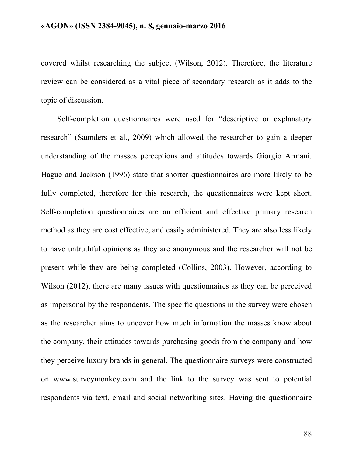covered whilst researching the subject (Wilson, 2012). Therefore, the literature review can be considered as a vital piece of secondary research as it adds to the topic of discussion.

Self-completion questionnaires were used for "descriptive or explanatory research" (Saunders et al., 2009) which allowed the researcher to gain a deeper understanding of the masses perceptions and attitudes towards Giorgio Armani. Hague and Jackson (1996) state that shorter questionnaires are more likely to be fully completed, therefore for this research, the questionnaires were kept short. Self-completion questionnaires are an efficient and effective primary research method as they are cost effective, and easily administered. They are also less likely to have untruthful opinions as they are anonymous and the researcher will not be present while they are being completed (Collins, 2003). However, according to Wilson (2012), there are many issues with questionnaires as they can be perceived as impersonal by the respondents. The specific questions in the survey were chosen as the researcher aims to uncover how much information the masses know about the company, their attitudes towards purchasing goods from the company and how they perceive luxury brands in general. The questionnaire surveys were constructed on www.surveymonkey.com and the link to the survey was sent to potential respondents via text, email and social networking sites. Having the questionnaire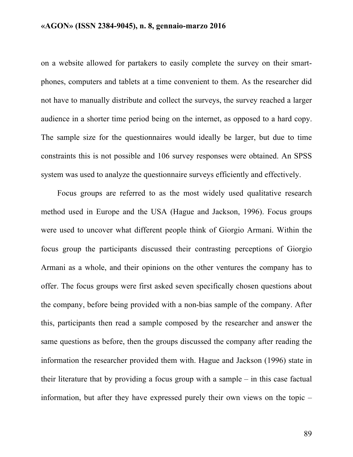on a website allowed for partakers to easily complete the survey on their smartphones, computers and tablets at a time convenient to them. As the researcher did not have to manually distribute and collect the surveys, the survey reached a larger audience in a shorter time period being on the internet, as opposed to a hard copy. The sample size for the questionnaires would ideally be larger, but due to time constraints this is not possible and 106 survey responses were obtained. An SPSS system was used to analyze the questionnaire surveys efficiently and effectively.

Focus groups are referred to as the most widely used qualitative research method used in Europe and the USA (Hague and Jackson, 1996). Focus groups were used to uncover what different people think of Giorgio Armani. Within the focus group the participants discussed their contrasting perceptions of Giorgio Armani as a whole, and their opinions on the other ventures the company has to offer. The focus groups were first asked seven specifically chosen questions about the company, before being provided with a non-bias sample of the company. After this, participants then read a sample composed by the researcher and answer the same questions as before, then the groups discussed the company after reading the information the researcher provided them with. Hague and Jackson (1996) state in their literature that by providing a focus group with a sample – in this case factual information, but after they have expressed purely their own views on the topic –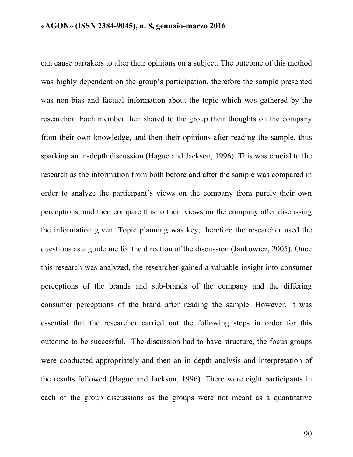can cause partakers to alter their opinions on a subject. The outcome of this method was highly dependent on the group's participation, therefore the sample presented was non-bias and factual information about the topic which was gathered by the researcher. Each member then shared to the group their thoughts on the company from their own knowledge, and then their opinions after reading the sample, thus sparking an in-depth discussion (Hague and Jackson, 1996). This was crucial to the research as the information from both before and after the sample was compared in order to analyze the participant's views on the company from purely their own perceptions, and then compare this to their views on the company after discussing the information given. Topic planning was key, therefore the researcher used the questions as a guideline for the direction of the discussion (Jankowicz, 2005). Once this research was analyzed, the researcher gained a valuable insight into consumer perceptions of the brands and sub-brands of the company and the differing consumer perceptions of the brand after reading the sample. However, it was essential that the researcher carried out the following steps in order for this outcome to be successful. The discussion had to have structure, the focus groups were conducted appropriately and then an in depth analysis and interpretation of the results followed (Hague and Jackson, 1996). There were eight participants in each of the group discussions as the groups were not meant as a quantitative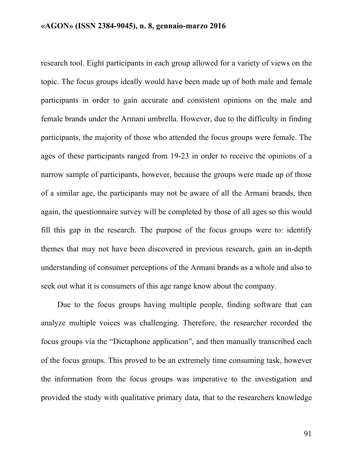research tool. Eight participants in each group allowed for a variety of views on the topic. The focus groups ideally would have been made up of both male and female participants in order to gain accurate and consistent opinions on the male and female brands under the Armani umbrella. However, due to the difficulty in finding participants, the majority of those who attended the focus groups were female. The ages of these participants ranged from 19-23 in order to receive the opinions of a narrow sample of participants, however, because the groups were made up of those of a similar age, the participants may not be aware of all the Armani brands, then again, the questionnaire survey will be completed by those of all ages so this would fill this gap in the research. The purpose of the focus groups were to: identify themes that may not have been discovered in previous research, gain an in-depth understanding of consumer perceptions of the Armani brands as a whole and also to seek out what it is consumers of this age range know about the company.

Due to the focus groups having multiple people, finding software that can analyze multiple voices was challenging. Therefore, the researcher recorded the focus groups via the "Dictaphone application", and then manually transcribed each of the focus groups. This proved to be an extremely time consuming task, however the information from the focus groups was imperative to the investigation and provided the study with qualitative primary data, that to the researchers knowledge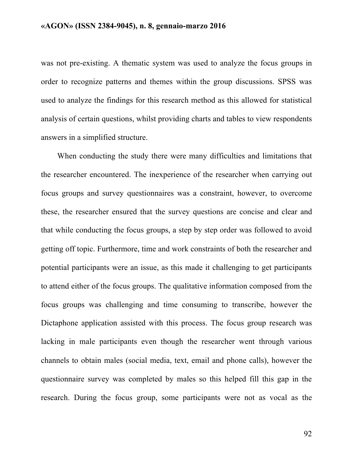was not pre-existing. A thematic system was used to analyze the focus groups in order to recognize patterns and themes within the group discussions. SPSS was used to analyze the findings for this research method as this allowed for statistical analysis of certain questions, whilst providing charts and tables to view respondents answers in a simplified structure.

When conducting the study there were many difficulties and limitations that the researcher encountered. The inexperience of the researcher when carrying out focus groups and survey questionnaires was a constraint, however, to overcome these, the researcher ensured that the survey questions are concise and clear and that while conducting the focus groups, a step by step order was followed to avoid getting off topic. Furthermore, time and work constraints of both the researcher and potential participants were an issue, as this made it challenging to get participants to attend either of the focus groups. The qualitative information composed from the focus groups was challenging and time consuming to transcribe, however the Dictaphone application assisted with this process. The focus group research was lacking in male participants even though the researcher went through various channels to obtain males (social media, text, email and phone calls), however the questionnaire survey was completed by males so this helped fill this gap in the research. During the focus group, some participants were not as vocal as the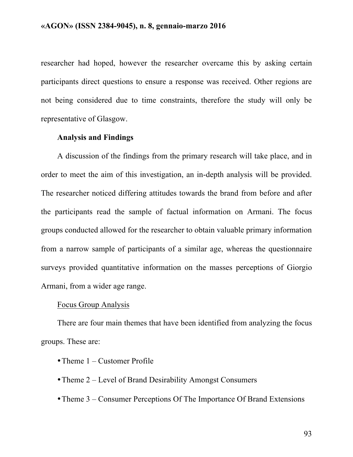researcher had hoped, however the researcher overcame this by asking certain participants direct questions to ensure a response was received. Other regions are not being considered due to time constraints, therefore the study will only be representative of Glasgow.

## **Analysis and Findings**

A discussion of the findings from the primary research will take place, and in order to meet the aim of this investigation, an in-depth analysis will be provided. The researcher noticed differing attitudes towards the brand from before and after the participants read the sample of factual information on Armani. The focus groups conducted allowed for the researcher to obtain valuable primary information from a narrow sample of participants of a similar age, whereas the questionnaire surveys provided quantitative information on the masses perceptions of Giorgio Armani, from a wider age range.

#### Focus Group Analysis

There are four main themes that have been identified from analyzing the focus groups. These are:

- Theme 1 Customer Profile
- Theme 2 Level of Brand Desirability Amongst Consumers
- Theme 3 Consumer Perceptions Of The Importance Of Brand Extensions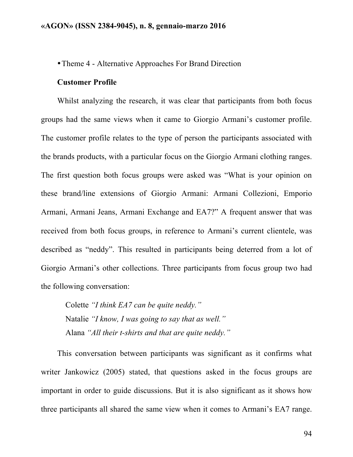•Theme 4 - Alternative Approaches For Brand Direction

## **Customer Profile**

Whilst analyzing the research, it was clear that participants from both focus groups had the same views when it came to Giorgio Armani's customer profile. The customer profile relates to the type of person the participants associated with the brands products, with a particular focus on the Giorgio Armani clothing ranges. The first question both focus groups were asked was "What is your opinion on these brand/line extensions of Giorgio Armani: Armani Collezioni, Emporio Armani, Armani Jeans, Armani Exchange and EA7?" A frequent answer that was received from both focus groups, in reference to Armani's current clientele, was described as "neddy". This resulted in participants being deterred from a lot of Giorgio Armani's other collections. Three participants from focus group two had the following conversation:

Colette *"I think EA7 can be quite neddy."* Natalie *"I know, I was going to say that as well."* Alana *"All their t-shirts and that are quite neddy."*

This conversation between participants was significant as it confirms what writer Jankowicz (2005) stated, that questions asked in the focus groups are important in order to guide discussions. But it is also significant as it shows how three participants all shared the same view when it comes to Armani's EA7 range.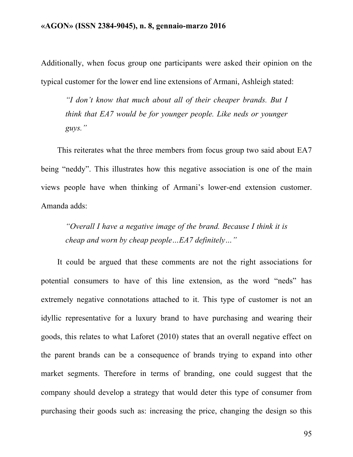Additionally, when focus group one participants were asked their opinion on the typical customer for the lower end line extensions of Armani, Ashleigh stated:

*"I don't know that much about all of their cheaper brands. But I think that EA7 would be for younger people. Like neds or younger guys."* 

This reiterates what the three members from focus group two said about EA7 being "neddy". This illustrates how this negative association is one of the main views people have when thinking of Armani's lower-end extension customer. Amanda adds:

*"Overall I have a negative image of the brand. Because I think it is cheap and worn by cheap people…EA7 definitely…"*

It could be argued that these comments are not the right associations for potential consumers to have of this line extension, as the word "neds" has extremely negative connotations attached to it. This type of customer is not an idyllic representative for a luxury brand to have purchasing and wearing their goods, this relates to what Laforet (2010) states that an overall negative effect on the parent brands can be a consequence of brands trying to expand into other market segments. Therefore in terms of branding, one could suggest that the company should develop a strategy that would deter this type of consumer from purchasing their goods such as: increasing the price, changing the design so this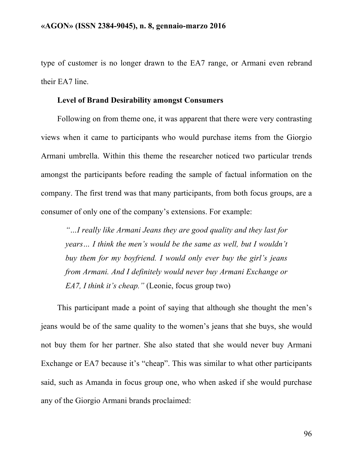type of customer is no longer drawn to the EA7 range, or Armani even rebrand their EA7 line.

## **Level of Brand Desirability amongst Consumers**

Following on from theme one, it was apparent that there were very contrasting views when it came to participants who would purchase items from the Giorgio Armani umbrella. Within this theme the researcher noticed two particular trends amongst the participants before reading the sample of factual information on the company. The first trend was that many participants, from both focus groups, are a consumer of only one of the company's extensions. For example:

*"…I really like Armani Jeans they are good quality and they last for years… I think the men's would be the same as well, but I wouldn't buy them for my boyfriend. I would only ever buy the girl's jeans from Armani. And I definitely would never buy Armani Exchange or EA7, I think it's cheap."* (Leonie, focus group two)

This participant made a point of saying that although she thought the men's jeans would be of the same quality to the women's jeans that she buys, she would not buy them for her partner. She also stated that she would never buy Armani Exchange or EA7 because it's "cheap". This was similar to what other participants said, such as Amanda in focus group one, who when asked if she would purchase any of the Giorgio Armani brands proclaimed: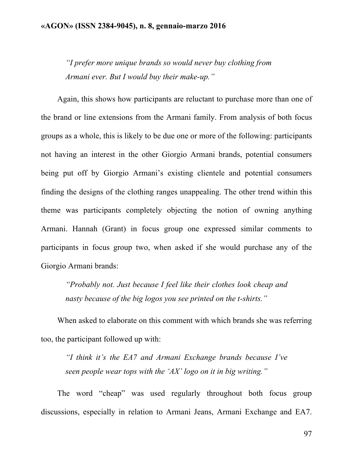*"I prefer more unique brands so would never buy clothing from Armani ever. But I would buy their make-up."*

Again, this shows how participants are reluctant to purchase more than one of the brand or line extensions from the Armani family. From analysis of both focus groups as a whole, this is likely to be due one or more of the following: participants not having an interest in the other Giorgio Armani brands, potential consumers being put off by Giorgio Armani's existing clientele and potential consumers finding the designs of the clothing ranges unappealing. The other trend within this theme was participants completely objecting the notion of owning anything Armani. Hannah (Grant) in focus group one expressed similar comments to participants in focus group two, when asked if she would purchase any of the Giorgio Armani brands:

*"Probably not. Just because I feel like their clothes look cheap and nasty because of the big logos you see printed on the t-shirts."*

When asked to elaborate on this comment with which brands she was referring too, the participant followed up with:

*"I think it's the EA7 and Armani Exchange brands because I've seen people wear tops with the 'AX' logo on it in big writing."*

The word "cheap" was used regularly throughout both focus group discussions, especially in relation to Armani Jeans, Armani Exchange and EA7.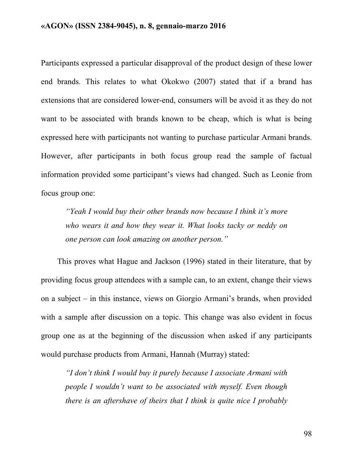Participants expressed a particular disapproval of the product design of these lower end brands. This relates to what Okokwo (2007) stated that if a brand has extensions that are considered lower-end, consumers will be avoid it as they do not want to be associated with brands known to be cheap, which is what is being expressed here with participants not wanting to purchase particular Armani brands. However, after participants in both focus group read the sample of factual information provided some participant's views had changed. Such as Leonie from focus group one:

*"Yeah I would buy their other brands now because I think it's more who wears it and how they wear it. What looks tacky or neddy on one person can look amazing on another person."*

This proves what Hague and Jackson (1996) stated in their literature, that by providing focus group attendees with a sample can, to an extent, change their views on a subject – in this instance, views on Giorgio Armani's brands, when provided with a sample after discussion on a topic. This change was also evident in focus group one as at the beginning of the discussion when asked if any participants would purchase products from Armani, Hannah (Murray) stated:

*"I don't think I would buy it purely because I associate Armani with people I wouldn't want to be associated with myself. Even though there is an aftershave of theirs that I think is quite nice I probably*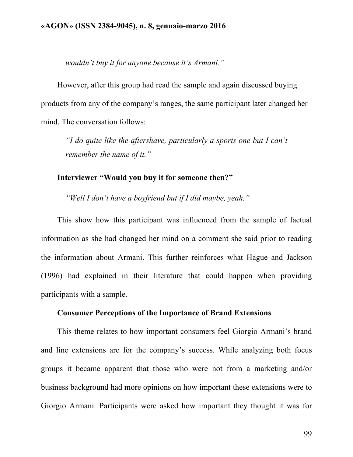*wouldn't buy it for anyone because it's Armani."*

However, after this group had read the sample and again discussed buying products from any of the company's ranges, the same participant later changed her mind. The conversation follows:

*"I do quite like the aftershave, particularly a sports one but I can't remember the name of it."*

**Interviewer "Would you buy it for someone then?"**

*"Well I don't have a boyfriend but if I did maybe, yeah."*

This show how this participant was influenced from the sample of factual information as she had changed her mind on a comment she said prior to reading the information about Armani. This further reinforces what Hague and Jackson (1996) had explained in their literature that could happen when providing participants with a sample.

## **Consumer Perceptions of the Importance of Brand Extensions**

This theme relates to how important consumers feel Giorgio Armani's brand and line extensions are for the company's success. While analyzing both focus groups it became apparent that those who were not from a marketing and/or business background had more opinions on how important these extensions were to Giorgio Armani. Participants were asked how important they thought it was for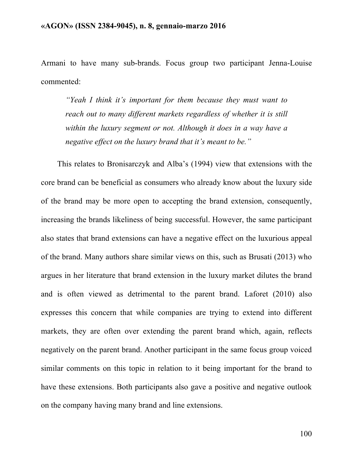Armani to have many sub-brands. Focus group two participant Jenna-Louise commented:

*"Yeah I think it's important for them because they must want to reach out to many different markets regardless of whether it is still within the luxury segment or not. Although it does in a way have a negative effect on the luxury brand that it's meant to be."*

This relates to Bronisarczyk and Alba's (1994) view that extensions with the core brand can be beneficial as consumers who already know about the luxury side of the brand may be more open to accepting the brand extension, consequently, increasing the brands likeliness of being successful. However, the same participant also states that brand extensions can have a negative effect on the luxurious appeal of the brand. Many authors share similar views on this, such as Brusati (2013) who argues in her literature that brand extension in the luxury market dilutes the brand and is often viewed as detrimental to the parent brand. Laforet (2010) also expresses this concern that while companies are trying to extend into different markets, they are often over extending the parent brand which, again, reflects negatively on the parent brand. Another participant in the same focus group voiced similar comments on this topic in relation to it being important for the brand to have these extensions. Both participants also gave a positive and negative outlook on the company having many brand and line extensions.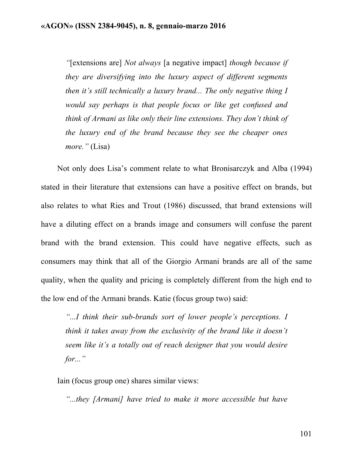*"*[extensions are] *Not always* [a negative impact] *though because if they are diversifying into the luxury aspect of different segments then it's still technically a luxury brand... The only negative thing I would say perhaps is that people focus or like get confused and think of Armani as like only their line extensions. They don't think of the luxury end of the brand because they see the cheaper ones more."* (Lisa)

Not only does Lisa's comment relate to what Bronisarczyk and Alba (1994) stated in their literature that extensions can have a positive effect on brands, but also relates to what Ries and Trout (1986) discussed, that brand extensions will have a diluting effect on a brands image and consumers will confuse the parent brand with the brand extension. This could have negative effects, such as consumers may think that all of the Giorgio Armani brands are all of the same quality, when the quality and pricing is completely different from the high end to the low end of the Armani brands. Katie (focus group two) said:

*"...I think their sub-brands sort of lower people's perceptions. I think it takes away from the exclusivity of the brand like it doesn't seem like it's a totally out of reach designer that you would desire for..."*

Iain (focus group one) shares similar views:

*"...they [Armani] have tried to make it more accessible but have*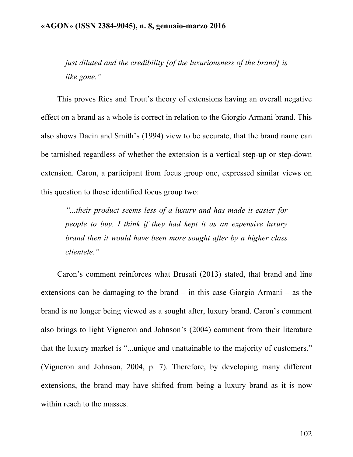*just diluted and the credibility [of the luxuriousness of the brand] is like gone."*

This proves Ries and Trout's theory of extensions having an overall negative effect on a brand as a whole is correct in relation to the Giorgio Armani brand. This also shows Dacin and Smith's (1994) view to be accurate, that the brand name can be tarnished regardless of whether the extension is a vertical step-up or step-down extension. Caron, a participant from focus group one, expressed similar views on this question to those identified focus group two:

*"...their product seems less of a luxury and has made it easier for people to buy. I think if they had kept it as an expensive luxury brand then it would have been more sought after by a higher class clientele."*

Caron's comment reinforces what Brusati (2013) stated, that brand and line extensions can be damaging to the brand – in this case Giorgio Armani – as the brand is no longer being viewed as a sought after, luxury brand. Caron's comment also brings to light Vigneron and Johnson's (2004) comment from their literature that the luxury market is "...unique and unattainable to the majority of customers." (Vigneron and Johnson, 2004, p. 7). Therefore, by developing many different extensions, the brand may have shifted from being a luxury brand as it is now within reach to the masses.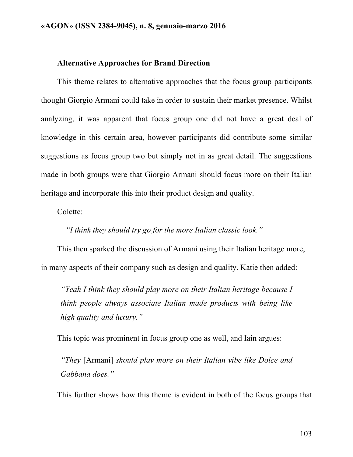#### **Alternative Approaches for Brand Direction**

This theme relates to alternative approaches that the focus group participants thought Giorgio Armani could take in order to sustain their market presence. Whilst analyzing, it was apparent that focus group one did not have a great deal of knowledge in this certain area, however participants did contribute some similar suggestions as focus group two but simply not in as great detail. The suggestions made in both groups were that Giorgio Armani should focus more on their Italian heritage and incorporate this into their product design and quality.

Colette:

*"I think they should try go for the more Italian classic look."*

This then sparked the discussion of Armani using their Italian heritage more, in many aspects of their company such as design and quality. Katie then added:

*"Yeah I think they should play more on their Italian heritage because I think people always associate Italian made products with being like high quality and luxury."*

This topic was prominent in focus group one as well, and Iain argues:

*"They* [Armani] *should play more on their Italian vibe like Dolce and Gabbana does."*

This further shows how this theme is evident in both of the focus groups that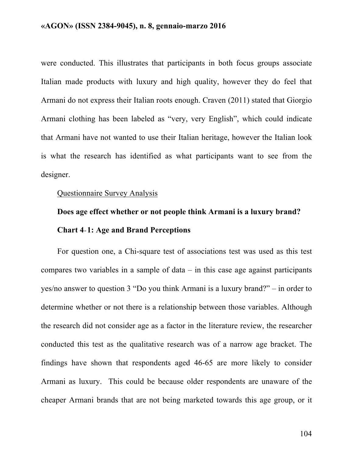were conducted. This illustrates that participants in both focus groups associate Italian made products with luxury and high quality, however they do feel that Armani do not express their Italian roots enough. Craven (2011) stated that Giorgio Armani clothing has been labeled as "very, very English", which could indicate that Armani have not wanted to use their Italian heritage, however the Italian look is what the research has identified as what participants want to see from the designer.

## Questionnaire Survey Analysis

# **Does age effect whether or not people think Armani is a luxury brand? Chart 4**-**1: Age and Brand Perceptions**

For question one, a Chi-square test of associations test was used as this test compares two variables in a sample of data  $-$  in this case age against participants yes/no answer to question 3 "Do you think Armani is a luxury brand?" – in order to determine whether or not there is a relationship between those variables. Although the research did not consider age as a factor in the literature review, the researcher conducted this test as the qualitative research was of a narrow age bracket. The findings have shown that respondents aged 46-65 are more likely to consider Armani as luxury. This could be because older respondents are unaware of the cheaper Armani brands that are not being marketed towards this age group, or it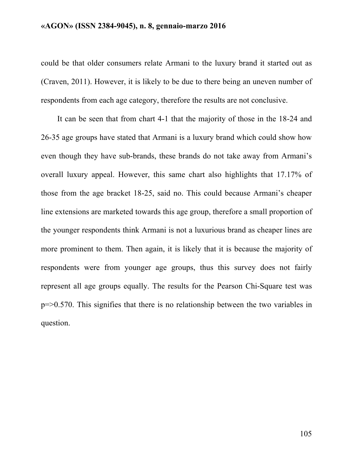could be that older consumers relate Armani to the luxury brand it started out as (Craven, 2011). However, it is likely to be due to there being an uneven number of respondents from each age category, therefore the results are not conclusive.

It can be seen that from chart 4-1 that the majority of those in the 18-24 and 26-35 age groups have stated that Armani is a luxury brand which could show how even though they have sub-brands, these brands do not take away from Armani's overall luxury appeal. However, this same chart also highlights that 17.17% of those from the age bracket 18-25, said no. This could because Armani's cheaper line extensions are marketed towards this age group, therefore a small proportion of the younger respondents think Armani is not a luxurious brand as cheaper lines are more prominent to them. Then again, it is likely that it is because the majority of respondents were from younger age groups, thus this survey does not fairly represent all age groups equally. The results for the Pearson Chi-Square test was p=>0.570. This signifies that there is no relationship between the two variables in question.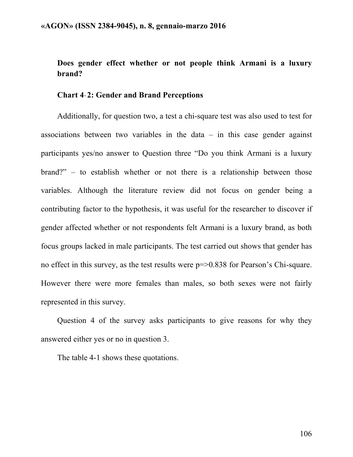# **Does gender effect whether or not people think Armani is a luxury brand?**

## **Chart 4**-**2: Gender and Brand Perceptions**

Additionally, for question two, a test a chi-square test was also used to test for associations between two variables in the data  $-$  in this case gender against participants yes/no answer to Question three "Do you think Armani is a luxury brand?" – to establish whether or not there is a relationship between those variables. Although the literature review did not focus on gender being a contributing factor to the hypothesis, it was useful for the researcher to discover if gender affected whether or not respondents felt Armani is a luxury brand, as both focus groups lacked in male participants. The test carried out shows that gender has no effect in this survey, as the test results were  $p = > 0.838$  for Pearson's Chi-square. However there were more females than males, so both sexes were not fairly represented in this survey.

Question 4 of the survey asks participants to give reasons for why they answered either yes or no in question 3.

The table 4-1 shows these quotations.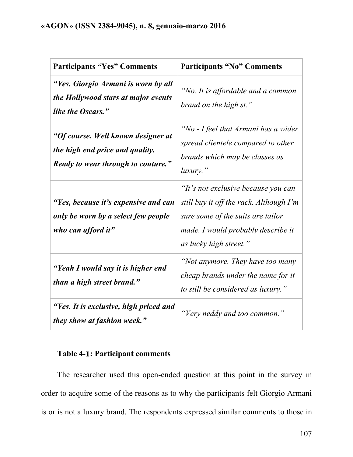| <b>Participants "Yes" Comments</b>                                                                                 | <b>Participants "No" Comments</b>                                                                                                                                                   |
|--------------------------------------------------------------------------------------------------------------------|-------------------------------------------------------------------------------------------------------------------------------------------------------------------------------------|
| "Yes. Giorgio Armani is worn by all<br>the Hollywood stars at major events<br>like the Oscars."                    | "No. It is affordable and a common<br>brand on the high st."                                                                                                                        |
| "Of course. Well known designer at<br>the high end price and quality.<br><b>Ready to wear through to couture."</b> | "No - I feel that Armani has a wider<br>spread clientele compared to other<br>brands which may be classes as<br>$luxury.$ "                                                         |
| "Yes, because it's expensive and can<br>only be worn by a select few people<br>who can afford it"                  | "It's not exclusive because you can<br>still buy it off the rack. Although I'm<br>sure some of the suits are tailor<br>made. I would probably describe it<br>as lucky high street." |
| "Yeah I would say it is higher end<br>than a high street brand."                                                   | "Not anymore. They have too many<br>cheap brands under the name for it<br>to still be considered as luxury."                                                                        |
| "Yes. It is exclusive, high priced and<br>they show at fashion week."                                              | "Very neddy and too common."                                                                                                                                                        |

# **Table 4**-1**: Participant comments**

The researcher used this open-ended question at this point in the survey in order to acquire some of the reasons as to why the participants felt Giorgio Armani is or is not a luxury brand. The respondents expressed similar comments to those in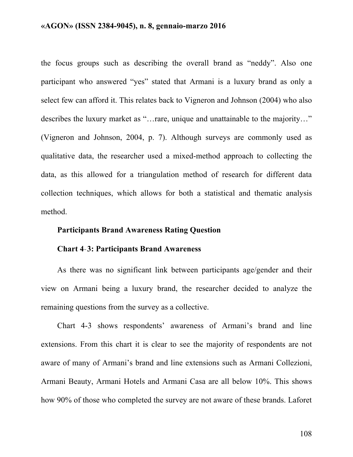the focus groups such as describing the overall brand as "neddy". Also one participant who answered "yes" stated that Armani is a luxury brand as only a select few can afford it. This relates back to Vigneron and Johnson (2004) who also describes the luxury market as "…rare, unique and unattainable to the majority…" (Vigneron and Johnson, 2004, p. 7). Although surveys are commonly used as qualitative data, the researcher used a mixed-method approach to collecting the data, as this allowed for a triangulation method of research for different data collection techniques, which allows for both a statistical and thematic analysis method.

## **Participants Brand Awareness Rating Question**

## **Chart 4**-**3: Participants Brand Awareness**

As there was no significant link between participants age/gender and their view on Armani being a luxury brand, the researcher decided to analyze the remaining questions from the survey as a collective.

Chart 4-3 shows respondents' awareness of Armani's brand and line extensions. From this chart it is clear to see the majority of respondents are not aware of many of Armani's brand and line extensions such as Armani Collezioni, Armani Beauty, Armani Hotels and Armani Casa are all below 10%. This shows how 90% of those who completed the survey are not aware of these brands. Laforet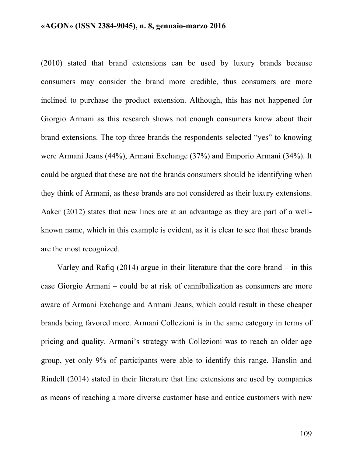(2010) stated that brand extensions can be used by luxury brands because consumers may consider the brand more credible, thus consumers are more inclined to purchase the product extension. Although, this has not happened for Giorgio Armani as this research shows not enough consumers know about their brand extensions. The top three brands the respondents selected "yes" to knowing were Armani Jeans (44%), Armani Exchange (37%) and Emporio Armani (34%). It could be argued that these are not the brands consumers should be identifying when they think of Armani, as these brands are not considered as their luxury extensions. Aaker (2012) states that new lines are at an advantage as they are part of a wellknown name, which in this example is evident, as it is clear to see that these brands are the most recognized.

Varley and Rafiq (2014) argue in their literature that the core brand – in this case Giorgio Armani – could be at risk of cannibalization as consumers are more aware of Armani Exchange and Armani Jeans, which could result in these cheaper brands being favored more. Armani Collezioni is in the same category in terms of pricing and quality. Armani's strategy with Collezioni was to reach an older age group, yet only 9% of participants were able to identify this range. Hanslin and Rindell (2014) stated in their literature that line extensions are used by companies as means of reaching a more diverse customer base and entice customers with new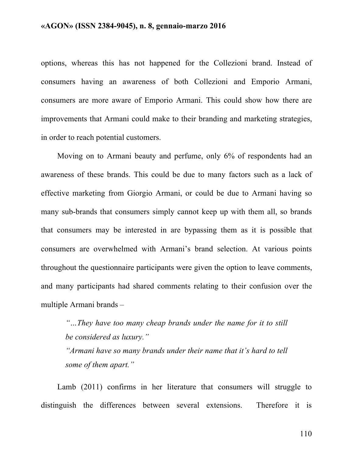options, whereas this has not happened for the Collezioni brand. Instead of consumers having an awareness of both Collezioni and Emporio Armani, consumers are more aware of Emporio Armani. This could show how there are improvements that Armani could make to their branding and marketing strategies, in order to reach potential customers.

Moving on to Armani beauty and perfume, only 6% of respondents had an awareness of these brands. This could be due to many factors such as a lack of effective marketing from Giorgio Armani, or could be due to Armani having so many sub-brands that consumers simply cannot keep up with them all, so brands that consumers may be interested in are bypassing them as it is possible that consumers are overwhelmed with Armani's brand selection. At various points throughout the questionnaire participants were given the option to leave comments, and many participants had shared comments relating to their confusion over the multiple Armani brands –

*"…They have too many cheap brands under the name for it to still be considered as luxury."*

*"Armani have so many brands under their name that it's hard to tell some of them apart."*

Lamb (2011) confirms in her literature that consumers will struggle to distinguish the differences between several extensions. Therefore it is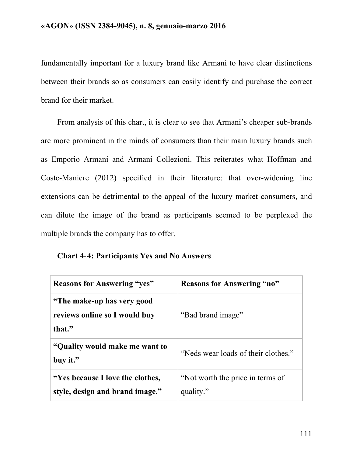fundamentally important for a luxury brand like Armani to have clear distinctions between their brands so as consumers can easily identify and purchase the correct brand for their market.

From analysis of this chart, it is clear to see that Armani's cheaper sub-brands are more prominent in the minds of consumers than their main luxury brands such as Emporio Armani and Armani Collezioni. This reiterates what Hoffman and Coste-Maniere (2012) specified in their literature: that over-widening line extensions can be detrimental to the appeal of the luxury market consumers, and can dilute the image of the brand as participants seemed to be perplexed the multiple brands the company has to offer.

**Chart 4**-**4: Participants Yes and No Answers**

| <b>Reasons for Answering "yes"</b>                                     | <b>Reasons for Answering "no"</b>             |
|------------------------------------------------------------------------|-----------------------------------------------|
| "The make-up has very good"<br>reviews online so I would buy<br>that." | "Bad brand image"                             |
| "Quality would make me want to<br>buy it."                             | "Neds wear loads of their clothes."           |
| "Yes because I love the clothes,"<br>style, design and brand image."   | "Not worth the price in terms of<br>quality." |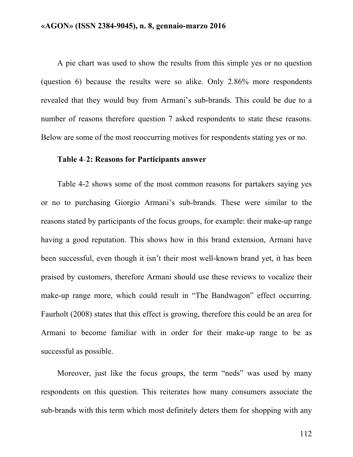A pie chart was used to show the results from this simple yes or no question (question 6) because the results were so alike. Only 2.86% more respondents revealed that they would buy from Armani's sub-brands. This could be due to a number of reasons therefore question 7 asked respondents to state these reasons. Below are some of the most reoccurring motives for respondents stating yes or no.

#### **Table 4**-**2: Reasons for Participants answer**

Table 4-2 shows some of the most common reasons for partakers saying yes or no to purchasing Giorgio Armani's sub-brands. These were similar to the reasons stated by participants of the focus groups, for example: their make-up range having a good reputation. This shows how in this brand extension, Armani have been successful, even though it isn't their most well-known brand yet, it has been praised by customers, therefore Armani should use these reviews to vocalize their make-up range more, which could result in "The Bandwagon" effect occurring. Faurholt (2008) states that this effect is growing, therefore this could be an area for Armani to become familiar with in order for their make-up range to be as successful as possible.

Moreover, just like the focus groups, the term "neds" was used by many respondents on this question. This reiterates how many consumers associate the sub-brands with this term which most definitely deters them for shopping with any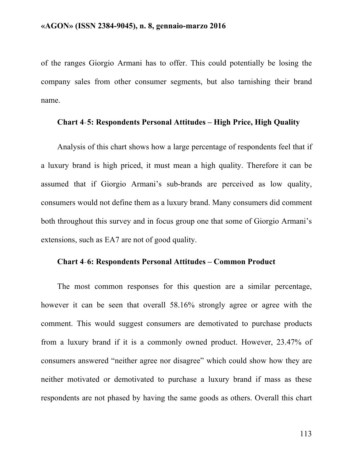of the ranges Giorgio Armani has to offer. This could potentially be losing the company sales from other consumer segments, but also tarnishing their brand name.

## **Chart 4**-**5: Respondents Personal Attitudes – High Price, High Quality**

Analysis of this chart shows how a large percentage of respondents feel that if a luxury brand is high priced, it must mean a high quality. Therefore it can be assumed that if Giorgio Armani's sub-brands are perceived as low quality, consumers would not define them as a luxury brand. Many consumers did comment both throughout this survey and in focus group one that some of Giorgio Armani's extensions, such as EA7 are not of good quality.

## **Chart 4**-**6: Respondents Personal Attitudes – Common Product**

The most common responses for this question are a similar percentage, however it can be seen that overall 58.16% strongly agree or agree with the comment. This would suggest consumers are demotivated to purchase products from a luxury brand if it is a commonly owned product. However, 23.47% of consumers answered "neither agree nor disagree" which could show how they are neither motivated or demotivated to purchase a luxury brand if mass as these respondents are not phased by having the same goods as others. Overall this chart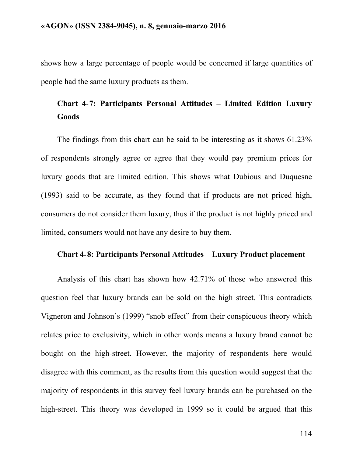shows how a large percentage of people would be concerned if large quantities of people had the same luxury products as them.

# **Chart 4**-**7: Participants Personal Attitudes – Limited Edition Luxury Goods**

The findings from this chart can be said to be interesting as it shows 61.23% of respondents strongly agree or agree that they would pay premium prices for luxury goods that are limited edition. This shows what Dubious and Duquesne (1993) said to be accurate, as they found that if products are not priced high, consumers do not consider them luxury, thus if the product is not highly priced and limited, consumers would not have any desire to buy them.

## **Chart 4**-**8: Participants Personal Attitudes – Luxury Product placement**

Analysis of this chart has shown how 42.71% of those who answered this question feel that luxury brands can be sold on the high street. This contradicts Vigneron and Johnson's (1999) "snob effect" from their conspicuous theory which relates price to exclusivity, which in other words means a luxury brand cannot be bought on the high-street. However, the majority of respondents here would disagree with this comment, as the results from this question would suggest that the majority of respondents in this survey feel luxury brands can be purchased on the high-street. This theory was developed in 1999 so it could be argued that this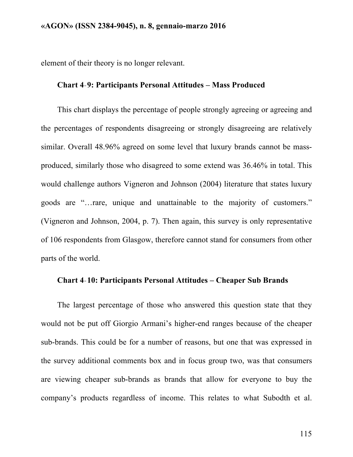element of their theory is no longer relevant.

## **Chart 4**-**9: Participants Personal Attitudes – Mass Produced**

This chart displays the percentage of people strongly agreeing or agreeing and the percentages of respondents disagreeing or strongly disagreeing are relatively similar. Overall 48.96% agreed on some level that luxury brands cannot be massproduced, similarly those who disagreed to some extend was 36.46% in total. This would challenge authors Vigneron and Johnson (2004) literature that states luxury goods are "…rare, unique and unattainable to the majority of customers." (Vigneron and Johnson, 2004, p. 7). Then again, this survey is only representative of 106 respondents from Glasgow, therefore cannot stand for consumers from other parts of the world.

## **Chart 4**-**10: Participants Personal Attitudes – Cheaper Sub Brands**

The largest percentage of those who answered this question state that they would not be put off Giorgio Armani's higher-end ranges because of the cheaper sub-brands. This could be for a number of reasons, but one that was expressed in the survey additional comments box and in focus group two, was that consumers are viewing cheaper sub-brands as brands that allow for everyone to buy the company's products regardless of income. This relates to what Subodth et al.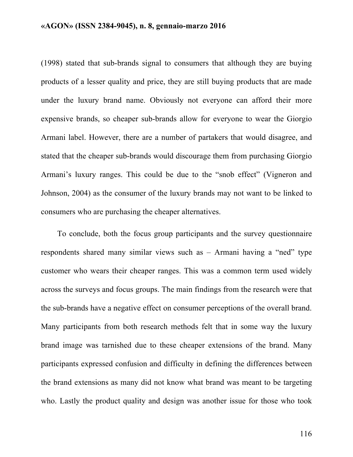(1998) stated that sub-brands signal to consumers that although they are buying products of a lesser quality and price, they are still buying products that are made under the luxury brand name. Obviously not everyone can afford their more expensive brands, so cheaper sub-brands allow for everyone to wear the Giorgio Armani label. However, there are a number of partakers that would disagree, and stated that the cheaper sub-brands would discourage them from purchasing Giorgio Armani's luxury ranges. This could be due to the "snob effect" (Vigneron and Johnson, 2004) as the consumer of the luxury brands may not want to be linked to consumers who are purchasing the cheaper alternatives.

To conclude, both the focus group participants and the survey questionnaire respondents shared many similar views such as – Armani having a "ned" type customer who wears their cheaper ranges. This was a common term used widely across the surveys and focus groups. The main findings from the research were that the sub-brands have a negative effect on consumer perceptions of the overall brand. Many participants from both research methods felt that in some way the luxury brand image was tarnished due to these cheaper extensions of the brand. Many participants expressed confusion and difficulty in defining the differences between the brand extensions as many did not know what brand was meant to be targeting who. Lastly the product quality and design was another issue for those who took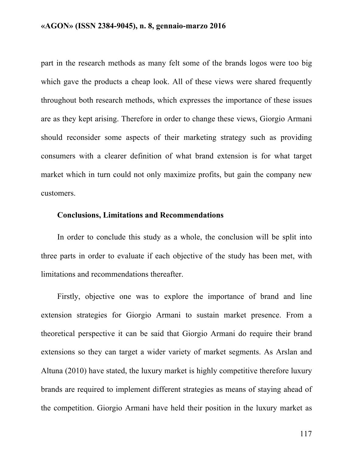part in the research methods as many felt some of the brands logos were too big which gave the products a cheap look. All of these views were shared frequently throughout both research methods, which expresses the importance of these issues are as they kept arising. Therefore in order to change these views, Giorgio Armani should reconsider some aspects of their marketing strategy such as providing consumers with a clearer definition of what brand extension is for what target market which in turn could not only maximize profits, but gain the company new customers.

## **Conclusions, Limitations and Recommendations**

In order to conclude this study as a whole, the conclusion will be split into three parts in order to evaluate if each objective of the study has been met, with limitations and recommendations thereafter.

Firstly, objective one was to explore the importance of brand and line extension strategies for Giorgio Armani to sustain market presence. From a theoretical perspective it can be said that Giorgio Armani do require their brand extensions so they can target a wider variety of market segments. As Arslan and Altuna (2010) have stated, the luxury market is highly competitive therefore luxury brands are required to implement different strategies as means of staying ahead of the competition. Giorgio Armani have held their position in the luxury market as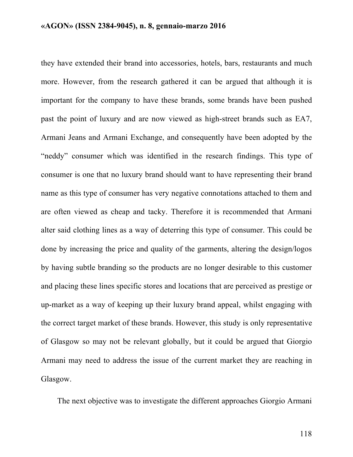they have extended their brand into accessories, hotels, bars, restaurants and much more. However, from the research gathered it can be argued that although it is important for the company to have these brands, some brands have been pushed past the point of luxury and are now viewed as high-street brands such as EA7, Armani Jeans and Armani Exchange, and consequently have been adopted by the "neddy" consumer which was identified in the research findings. This type of consumer is one that no luxury brand should want to have representing their brand name as this type of consumer has very negative connotations attached to them and are often viewed as cheap and tacky. Therefore it is recommended that Armani alter said clothing lines as a way of deterring this type of consumer. This could be done by increasing the price and quality of the garments, altering the design/logos by having subtle branding so the products are no longer desirable to this customer and placing these lines specific stores and locations that are perceived as prestige or up-market as a way of keeping up their luxury brand appeal, whilst engaging with the correct target market of these brands. However, this study is only representative of Glasgow so may not be relevant globally, but it could be argued that Giorgio Armani may need to address the issue of the current market they are reaching in Glasgow.

The next objective was to investigate the different approaches Giorgio Armani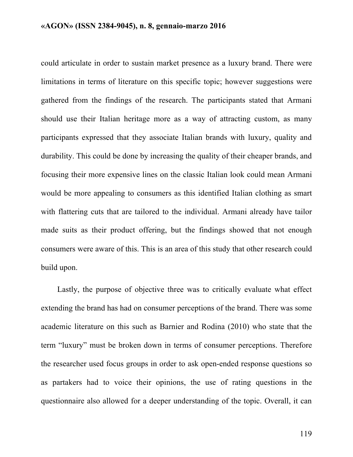could articulate in order to sustain market presence as a luxury brand. There were limitations in terms of literature on this specific topic; however suggestions were gathered from the findings of the research. The participants stated that Armani should use their Italian heritage more as a way of attracting custom, as many participants expressed that they associate Italian brands with luxury, quality and durability. This could be done by increasing the quality of their cheaper brands, and focusing their more expensive lines on the classic Italian look could mean Armani would be more appealing to consumers as this identified Italian clothing as smart with flattering cuts that are tailored to the individual. Armani already have tailor made suits as their product offering, but the findings showed that not enough consumers were aware of this. This is an area of this study that other research could build upon.

Lastly, the purpose of objective three was to critically evaluate what effect extending the brand has had on consumer perceptions of the brand. There was some academic literature on this such as Barnier and Rodina (2010) who state that the term "luxury" must be broken down in terms of consumer perceptions. Therefore the researcher used focus groups in order to ask open-ended response questions so as partakers had to voice their opinions, the use of rating questions in the questionnaire also allowed for a deeper understanding of the topic. Overall, it can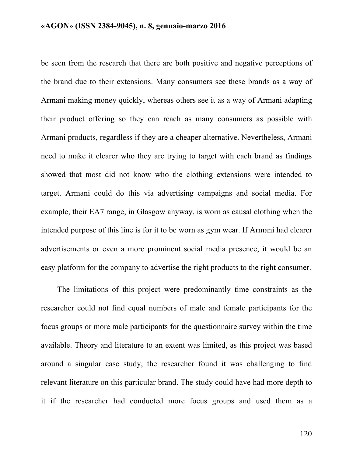be seen from the research that there are both positive and negative perceptions of the brand due to their extensions. Many consumers see these brands as a way of Armani making money quickly, whereas others see it as a way of Armani adapting their product offering so they can reach as many consumers as possible with Armani products, regardless if they are a cheaper alternative. Nevertheless, Armani need to make it clearer who they are trying to target with each brand as findings showed that most did not know who the clothing extensions were intended to target. Armani could do this via advertising campaigns and social media. For example, their EA7 range, in Glasgow anyway, is worn as causal clothing when the intended purpose of this line is for it to be worn as gym wear. If Armani had clearer advertisements or even a more prominent social media presence, it would be an easy platform for the company to advertise the right products to the right consumer.

The limitations of this project were predominantly time constraints as the researcher could not find equal numbers of male and female participants for the focus groups or more male participants for the questionnaire survey within the time available. Theory and literature to an extent was limited, as this project was based around a singular case study, the researcher found it was challenging to find relevant literature on this particular brand. The study could have had more depth to it if the researcher had conducted more focus groups and used them as a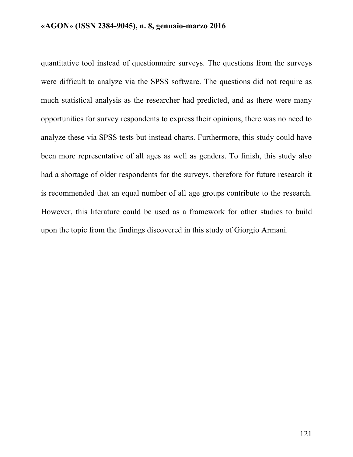quantitative tool instead of questionnaire surveys. The questions from the surveys were difficult to analyze via the SPSS software. The questions did not require as much statistical analysis as the researcher had predicted, and as there were many opportunities for survey respondents to express their opinions, there was no need to analyze these via SPSS tests but instead charts. Furthermore, this study could have been more representative of all ages as well as genders. To finish, this study also had a shortage of older respondents for the surveys, therefore for future research it is recommended that an equal number of all age groups contribute to the research. However, this literature could be used as a framework for other studies to build upon the topic from the findings discovered in this study of Giorgio Armani.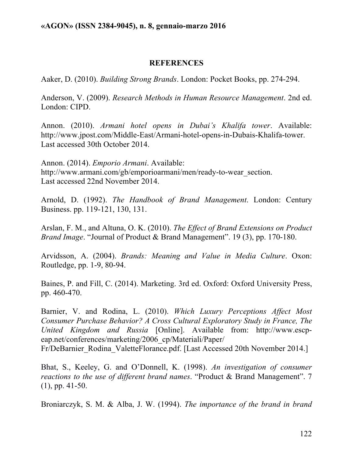## **REFERENCES**

Aaker, D. (2010). *Building Strong Brands*. London: Pocket Books, pp. 274-294.

Anderson, V. (2009). *Research Methods in Human Resource Management*. 2nd ed. London: CIPD.

Annon. (2010). *Armani hotel opens in Dubai's Khalifa tower*. Available: http://www.jpost.com/Middle-East/Armani-hotel-opens-in-Dubais-Khalifa-tower. Last accessed 30th October 2014.

Annon. (2014). *Emporio Armani*. Available: http://www.armani.com/gb/emporioarmani/men/ready-to-wear\_section. Last accessed 22nd November 2014.

Arnold, D. (1992). *The Handbook of Brand Management*. London: Century Business. pp. 119-121, 130, 131.

Arslan, F. M., and Altuna, O. K. (2010). *The Effect of Brand Extensions on Product Brand Image*. "Journal of Product & Brand Management". 19 (3), pp. 170-180.

Arvidsson, A. (2004). *Brands: Meaning and Value in Media Culture*. Oxon: Routledge, pp. 1-9, 80-94.

Baines, P. and Fill, C. (2014). Marketing. 3rd ed. Oxford: Oxford University Press, pp. 460-470.

Barnier, V. and Rodina, L. (2010). *Which Luxury Perceptions Affect Most Consumer Purchase Behavior? A Cross Cultural Exploratory Study in France, The United Kingdom and Russia* [Online]. Available from: http://www.escpeap.net/conferences/marketing/2006\_cp/Materiali/Paper/ Fr/DeBarnier\_Rodina\_ValetteFlorance.pdf. [Last Accessed 20th November 2014.]

Bhat, S., Keeley, G. and O'Donnell, K. (1998). *An investigation of consumer reactions to the use of different brand names*. "Product & Brand Management". 7 (1), pp. 41-50.

Broniarczyk, S. M. & Alba, J. W. (1994). *The importance of the brand in brand*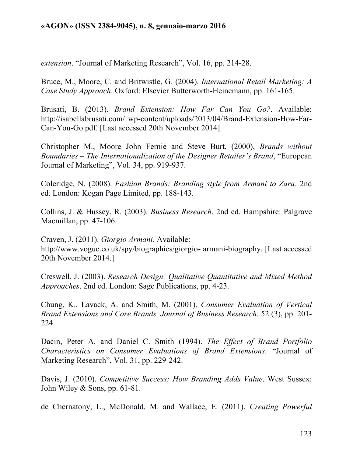*extension*. "Journal of Marketing Research", Vol. 16, pp. 214-28.

Bruce, M., Moore, C. and Britwistle, G. (2004). *International Retail Marketing: A Case Study Approach*. Oxford: Elsevier Butterworth-Heinemann, pp. 161-165.

Brusati, B. (2013). *Brand Extension: How Far Can You Go?*. Available: http://isabellabrusati.com/ wp-content/uploads/2013/04/Brand-Extension-How-Far-Can-You-Go.pdf. [Last accessed 20th November 2014].

Christopher M., Moore John Fernie and Steve Burt, (2000), *Brands without Boundaries – The Internationalization of the Designer Retailer's Brand*, "European Journal of Marketing", Vol. 34, pp. 919-937.

Coleridge, N. (2008). *Fashion Brands: Branding style from Armani to Zara*. 2nd ed. London: Kogan Page Limited, pp. 188-143.

Collins, J. & Hussey, R. (2003). *Business Research*. 2nd ed. Hampshire: Palgrave Macmillan, pp. 47-106.

Craven, J. (2011). *Giorgio Armani*. Available: http://www.vogue.co.uk/spy/biographies/giorgio- armani-biography. [Last accessed 20th November 2014.]

Creswell, J. (2003). *Research Design; Qualitative Quantitative and Mixed Method Approaches*. 2nd ed. London: Sage Publications, pp. 4-23.

Chung, K., Lavack, A. and Smith, M. (2001). *Consumer Evaluation of Vertical Brand Extensions and Core Brands. Journal of Business Research*. 52 (3), pp. 201- 224.

Dacin, Peter A. and Daniel C. Smith (1994). *The Effect of Brand Portfolio Characteristics on Consumer Evaluations of Brand Extensions*. "Journal of Marketing Research", Vol. 31, pp. 229-242.

Davis, J. (2010). *Competitive Success: How Branding Adds Value*. West Sussex: John Wiley & Sons, pp. 61-81.

de Chernatony, L., McDonald, M. and Wallace, E. (2011). *Creating Powerful*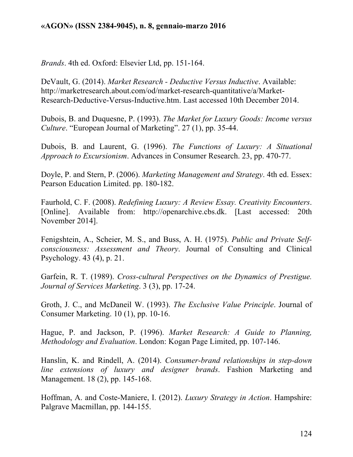*Brands*. 4th ed. Oxford: Elsevier Ltd, pp. 151-164.

DeVault, G. (2014). *Market Research - Deductive Versus Inductive*. Available: http://marketresearch.about.com/od/market-research-quantitative/a/Market-Research-Deductive-Versus-Inductive.htm. Last accessed 10th December 2014.

Dubois, B. and Duquesne, P. (1993). *The Market for Luxury Goods: Income versus Culture*. "European Journal of Marketing". 27 (1), pp. 35-44.

Dubois, B. and Laurent, G. (1996). *The Functions of Luxury: A Situational Approach to Excursionism*. Advances in Consumer Research. 23, pp. 470-77.

Doyle, P. and Stern, P. (2006). *Marketing Management and Strategy*. 4th ed. Essex: Pearson Education Limited. pp. 180-182.

Faurhold, C. F. (2008). *Redefining Luxury: A Review Essay. Creativity Encounters*. [Online]. Available from: http://openarchive.cbs.dk. [Last accessed: 20th November 2014].

Fenigshtein, A., Scheier, M. S., and Buss, A. H. (1975). *Public and Private Selfconsciousness: Assessment and Theory*. Journal of Consulting and Clinical Psychology. 43 (4), p. 21.

Garfein, R. T. (1989). *Cross-cultural Perspectives on the Dynamics of Prestigue. Journal of Services Marketing*. 3 (3), pp. 17-24.

Groth, J. C., and McDaneil W. (1993). *The Exclusive Value Principle*. Journal of Consumer Marketing. 10 (1), pp. 10-16.

Hague, P. and Jackson, P. (1996). *Market Research: A Guide to Planning, Methodology and Evaluation*. London: Kogan Page Limited, pp. 107-146.

Hanslin, K. and Rindell, A. (2014). *Consumer-brand relationships in step-down line extensions of luxury and designer brands*. Fashion Marketing and Management. 18 (2), pp. 145-168.

Hoffman, A. and Coste-Maniere, I. (2012). *Luxury Strategy in Action*. Hampshire: Palgrave Macmillan, pp. 144-155.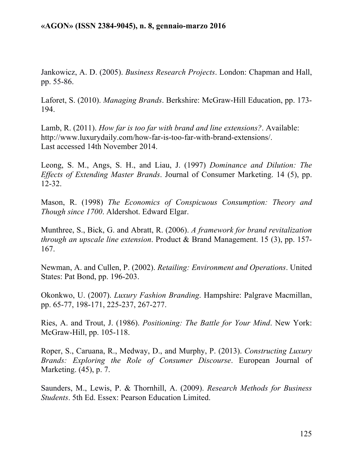Jankowicz, A. D. (2005). *Business Research Projects*. London: Chapman and Hall, pp. 55-86.

Laforet, S. (2010). *Managing Brands*. Berkshire: McGraw-Hill Education, pp. 173- 194.

Lamb, R. (2011). *How far is too far with brand and line extensions?*. Available: http://www.luxurydaily.com/how-far-is-too-far-with-brand-extensions/. Last accessed 14th November 2014.

Leong, S. M., Angs, S. H., and Liau, J. (1997) *Dominance and Dilution: The Effects of Extending Master Brands*. Journal of Consumer Marketing. 14 (5), pp. 12-32.

Mason, R. (1998) *The Economics of Conspicuous Consumption: Theory and Though since 1700*. Aldershot. Edward Elgar.

Munthree, S., Bick, G. and Abratt, R. (2006). *A framework for brand revitalization through an upscale line extension*. Product & Brand Management. 15 (3), pp. 157- 167.

Newman, A. and Cullen, P. (2002). *Retailing: Environment and Operations*. United States: Pat Bond, pp. 196-203.

Okonkwo, U. (2007). *Luxury Fashion Branding*. Hampshire: Palgrave Macmillan, pp. 65-77, 198-171, 225-237, 267-277.

Ries, A. and Trout, J. (1986). *Positioning: The Battle for Your Mind*. New York: McGraw-Hill, pp. 105-118.

Roper, S., Caruana, R., Medway, D., and Murphy, P. (2013). *Constructing Luxury Brands: Exploring the Role of Consumer Discourse*. European Journal of Marketing. (45), p. 7.

Saunders, M., Lewis, P. & Thornhill, A. (2009). *Research Methods for Business Students*. 5th Ed. Essex: Pearson Education Limited.